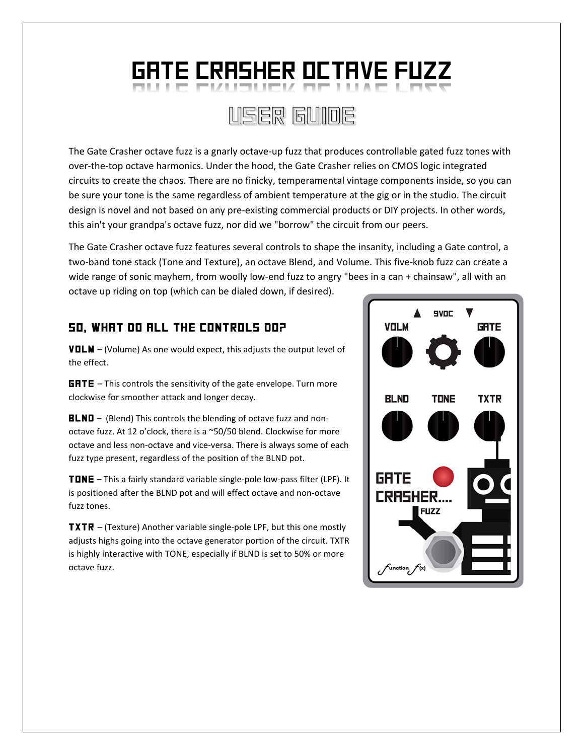## **GRTE CRRSHER OCTAVE FUZZ**



The Gate Crasher octave fuzz is a gnarly octave-up fuzz that produces controllable gated fuzz tones with over-the-top octave harmonics. Under the hood, the Gate Crasher relies on CMOS logic integrated circuits to create the chaos. There are no finicky, temperamental vintage components inside, so you can be sure your tone is the same regardless of ambient temperature at the gig or in the studio. The circuit design is novel and not based on any pre-existing commercial products or DIY projects. In other words, this ain't your grandpa's octave fuzz, nor did we "borrow" the circuit from our peers.

The Gate Crasher octave fuzz features several controls to shape the insanity, including a Gate control, a two-band tone stack (Tone and Texture), an octave Blend, and Volume. This five-knob fuzz can create a wide range of sonic mayhem, from woolly low-end fuzz to angry "bees in a can + chainsaw", all with an octave up riding on top (which can be dialed down, if desired).

## So, what do all the controls do?

**VOLM** – (Volume) As one would expect, this adjusts the output level of the effect.

**GRTE** – This controls the sensitivity of the gate envelope. Turn more clockwise for smoother attack and longer decay.

**BLND** – (Blend) This controls the blending of octave fuzz and nonoctave fuzz. At 12 o'clock, there is a ~50/50 blend. Clockwise for more octave and less non-octave and vice-versa. There is always some of each fuzz type present, regardless of the position of the BLND pot.

**TDNE** – This a fairly standard variable single-pole low-pass filter (LPF). It is positioned after the BLND pot and will effect octave and non-octave fuzz tones.

TXTR – (Texture) Another variable single-pole LPF, but this one mostly adjusts highs going into the octave generator portion of the circuit. TXTR is highly interactive with TONE, especially if BLND is set to 50% or more octave fuzz.